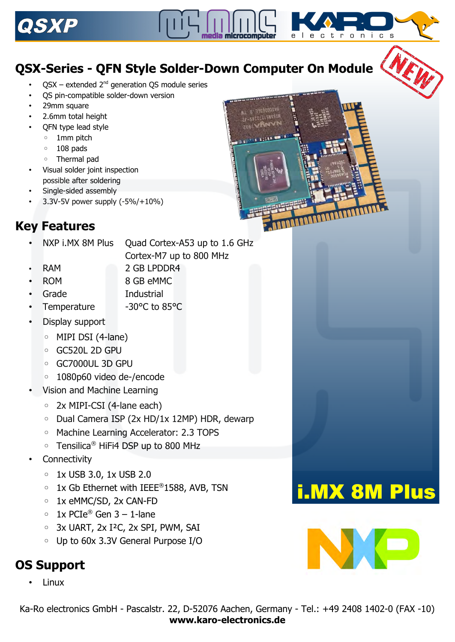

# **QSX-Series - QFN Style Solder-Down Computer On Module**

- $OSX$  extended  $2<sup>nd</sup>$  generation QS module series
- QS pin-compatible solder-down version
- 29mm square
- 2.6mm total height
- QFN type lead style
	- 1mm pitch
	- 108 pads
	- Thermal pad
- Visual solder joint inspection possible after soldering
- Single-sided assembly
- 3.3V-5V power supply (-5%/+10%)



NXP i.MX 8M Plus Quad Cortex-A53 up to 1.6 GHz Cortex-M7 up to 800 MHz

- 
- RAM 2 GB LPDDR4
- ROM 8 GB eMMC
- - Grade Industrial
- Temperature -30°C to 85°C
- Display support
	- MIPI DSI (4-lane)
	- GC520L 2D GPU
	- GC7000UL 3D GPU
	- 1080p60 video de-/encode
- Vision and Machine Learning
	- 2x MIPI-CSI (4-lane each)
	- Dual Camera ISP (2x HD/1x 12MP) HDR, dewarp
	- Machine Learning Accelerator: 2.3 TOPS
	- Tensilica® HiFi4 DSP up to 800 MHz
- **Connectivity** 
	- 1x USB 3.0, 1x USB 2.0
	- 1x Gb Ethernet with IEEE® 1588, AVB, TSN
	- 1x eMMC/SD, 2x CAN-FD
	- $\circ$  1x PCIe<sup>®</sup> Gen 3 1-lane
	- 3x UART, 2x I²C, 2x SPI, PWM, SAI
	- Up to 60x 3.3V General Purpose I/O

## **OS Support**

• Linux





electronics

i.MX 8M Plus

NX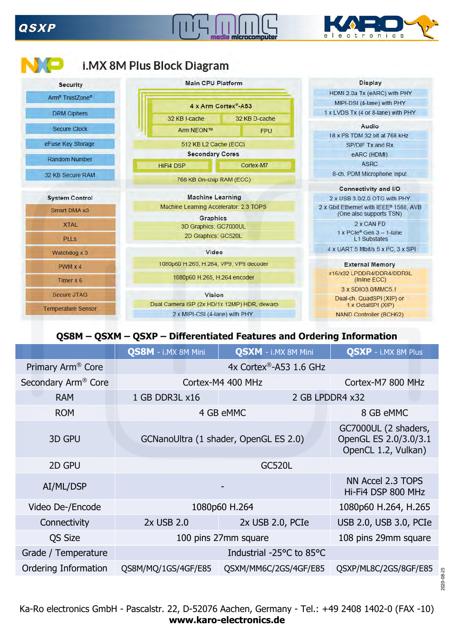### **QSXP**







### **QS8M – QSXM – QSXP – Differentiated Features and Ordering Information**

|                                 | <b>QS8M</b> - i.MX 8M Mini | <b>QSXM</b> - i.MX 8M Mini            | <b>QSXP</b> - i.MX 8M Plus                                           |
|---------------------------------|----------------------------|---------------------------------------|----------------------------------------------------------------------|
| Primary Arm <sup>®</sup> Core   |                            | 4x Cortex®-A53 1.6 GHz                |                                                                      |
| Secondary Arm <sup>®</sup> Core |                            | Cortex-M4 400 MHz                     | Cortex-M7 800 MHz                                                    |
| <b>RAM</b>                      | 1 GB DDR3L x16             |                                       | 2 GB LPDDR4 x32                                                      |
| <b>ROM</b>                      |                            | 4 GB eMMC                             | 8 GB eMMC                                                            |
| 3D GPU                          |                            | GCNanoUltra (1 shader, OpenGL ES 2.0) | GC7000UL (2 shaders,<br>OpenGL ES 2.0/3.0/3.1<br>OpenCL 1.2, Vulkan) |
| 2D GPU                          |                            | <b>GC520L</b>                         |                                                                      |
| AI/ML/DSP                       |                            |                                       | NN Accel 2.3 TOPS<br>Hi-Fi4 DSP 800 MHz                              |
| Video De-/Encode                |                            | 1080p60 H.264                         | 1080p60 H.264, H.265                                                 |
| Connectivity                    | 2x USB 2.0                 | 2x USB 2.0, PCIe                      | USB 2.0, USB 3.0, PCIe                                               |
| <b>QS Size</b>                  |                            | 100 pins 27mm square                  | 108 pins 29mm square                                                 |
| Grade / Temperature             |                            | Industrial -25°C to 85°C              |                                                                      |
| Ordering Information            | QS8M/MQ/1GS/4GF/E85        | QSXM/MM6C/2GS/4GF/E85                 | QSXP/ML8C/2GS/8GF/E85                                                |

2020-08-25 2020-08-25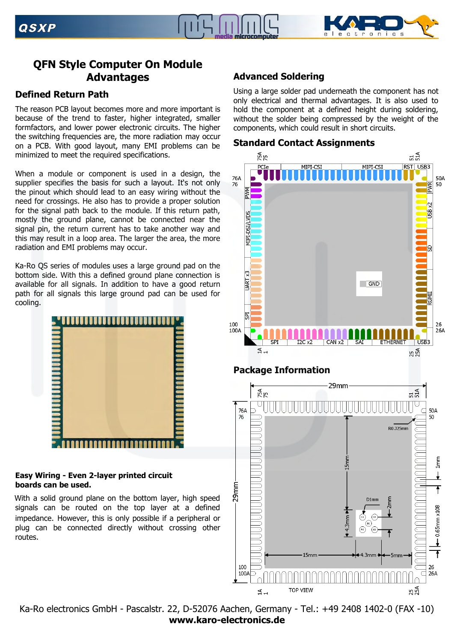



### **QFN Style Computer On Module Advantages**

#### **Defined Return Path**

The reason PCB layout becomes more and more important is because of the trend to faster, higher integrated, smaller formfactors, and lower power electronic circuits. The higher the switching frequencies are, the more radiation may occur on a PCB. With good layout, many EMI problems can be minimized to meet the required specifications.

When a module or component is used in a design, the supplier specifies the basis for such a layout. It's not only the pinout which should lead to an easy wiring without the need for crossings. He also has to provide a proper solution for the signal path back to the module. If this return path, mostly the ground plane, cannot be connected near the signal pin, the return current has to take another way and this may result in a loop area. The larger the area, the more radiation and EMI problems may occur.

Ka-Ro QS series of modules uses a large ground pad on the bottom side. With this a defined ground plane connection is available for all signals. In addition to have a good return path for all signals this large ground pad can be used for cooling.



#### **Easy Wiring - Even 2-layer printed circuit boards can be used.**

With a solid ground plane on the bottom layer, high speed signals can be routed on the top layer at a defined impedance. However, this is only possible if a peripheral or plug can be connected directly without crossing other routes.

### **Advanced Soldering**

Using a large solder pad underneath the component has not only electrical and thermal advantages. It is also used to hold the component at a defined height during soldering, without the solder being compressed by the weight of the components, which could result in short circuits.





### **Package Information**

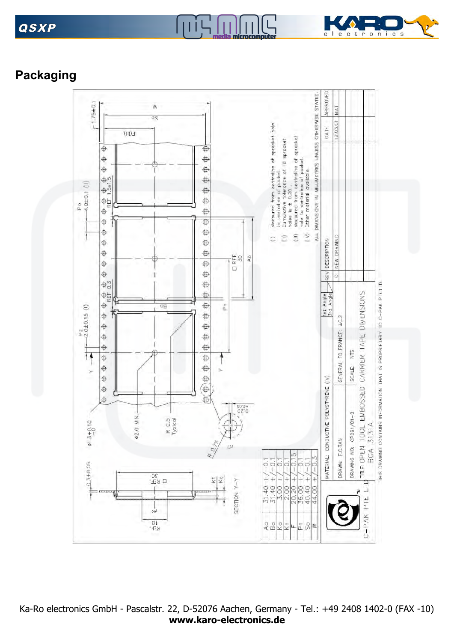# **QSXP**



# **Packaging**



**TIL** 

Inlin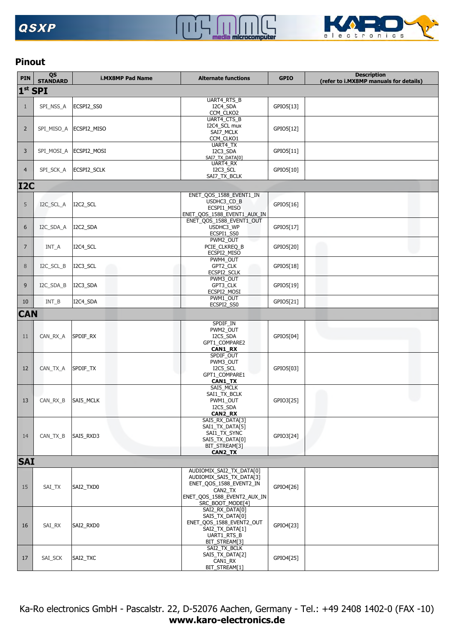



### **Pinout**

| <b>PIN</b>     | QS<br><b>STANDARD</b> | <b>i.MX8MP Pad Name</b>  | <b>Alternate functions</b>                                                                                                                                                                                                                                                                                                                                                                                                                                                                                                                                                                                                                                                                                                                                                                                                                                                                                          | <b>GPIO</b> | <b>Description</b><br>(refer to i.MX8MP manuals for details) |  |
|----------------|-----------------------|--------------------------|---------------------------------------------------------------------------------------------------------------------------------------------------------------------------------------------------------------------------------------------------------------------------------------------------------------------------------------------------------------------------------------------------------------------------------------------------------------------------------------------------------------------------------------------------------------------------------------------------------------------------------------------------------------------------------------------------------------------------------------------------------------------------------------------------------------------------------------------------------------------------------------------------------------------|-------------|--------------------------------------------------------------|--|
|                | $1st$ SPI             |                          |                                                                                                                                                                                                                                                                                                                                                                                                                                                                                                                                                                                                                                                                                                                                                                                                                                                                                                                     |             |                                                              |  |
|                |                       |                          | UART4_RTS_B                                                                                                                                                                                                                                                                                                                                                                                                                                                                                                                                                                                                                                                                                                                                                                                                                                                                                                         |             |                                                              |  |
| $\mathbf{1}$   | SPI_NSS_A             | ECSPI2_SS0               | I2C4_SDA<br>CCM_CLKO2                                                                                                                                                                                                                                                                                                                                                                                                                                                                                                                                                                                                                                                                                                                                                                                                                                                                                               | GPIO5[13]   |                                                              |  |
|                |                       |                          |                                                                                                                                                                                                                                                                                                                                                                                                                                                                                                                                                                                                                                                                                                                                                                                                                                                                                                                     |             |                                                              |  |
| $\overline{2}$ |                       | SPI_MISO_A   ECSPI2_MISO | I2C4_SCL mux                                                                                                                                                                                                                                                                                                                                                                                                                                                                                                                                                                                                                                                                                                                                                                                                                                                                                                        |             |                                                              |  |
|                |                       |                          |                                                                                                                                                                                                                                                                                                                                                                                                                                                                                                                                                                                                                                                                                                                                                                                                                                                                                                                     |             |                                                              |  |
|                |                       |                          | UART4_TX                                                                                                                                                                                                                                                                                                                                                                                                                                                                                                                                                                                                                                                                                                                                                                                                                                                                                                            |             |                                                              |  |
| 3              |                       | SPI_MOSI_A ECSPI2_MOSI   |                                                                                                                                                                                                                                                                                                                                                                                                                                                                                                                                                                                                                                                                                                                                                                                                                                                                                                                     |             |                                                              |  |
|                |                       |                          | UART4_RX                                                                                                                                                                                                                                                                                                                                                                                                                                                                                                                                                                                                                                                                                                                                                                                                                                                                                                            |             |                                                              |  |
| $\overline{4}$ | SPI_SCK_A             | ECSPI2_SCLK              |                                                                                                                                                                                                                                                                                                                                                                                                                                                                                                                                                                                                                                                                                                                                                                                                                                                                                                                     |             |                                                              |  |
| <b>I2C</b>     |                       |                          |                                                                                                                                                                                                                                                                                                                                                                                                                                                                                                                                                                                                                                                                                                                                                                                                                                                                                                                     |             |                                                              |  |
|                |                       |                          |                                                                                                                                                                                                                                                                                                                                                                                                                                                                                                                                                                                                                                                                                                                                                                                                                                                                                                                     |             |                                                              |  |
| 5              | I2C_SCL_A             | I2C2_SCL                 | USDHC3_CD_B                                                                                                                                                                                                                                                                                                                                                                                                                                                                                                                                                                                                                                                                                                                                                                                                                                                                                                         |             |                                                              |  |
|                |                       |                          |                                                                                                                                                                                                                                                                                                                                                                                                                                                                                                                                                                                                                                                                                                                                                                                                                                                                                                                     |             |                                                              |  |
|                |                       |                          | ENET_QOS_1588_EVENT1_OUT                                                                                                                                                                                                                                                                                                                                                                                                                                                                                                                                                                                                                                                                                                                                                                                                                                                                                            |             |                                                              |  |
| 6              | I2C_SDA_A             | I2C2_SDA                 | USDHC3_WP                                                                                                                                                                                                                                                                                                                                                                                                                                                                                                                                                                                                                                                                                                                                                                                                                                                                                                           | GPIO5[17]   |                                                              |  |
|                |                       |                          |                                                                                                                                                                                                                                                                                                                                                                                                                                                                                                                                                                                                                                                                                                                                                                                                                                                                                                                     |             |                                                              |  |
| $\overline{7}$ | INT_A                 | I2C4_SCL                 | PCIE_CLKREQ_B                                                                                                                                                                                                                                                                                                                                                                                                                                                                                                                                                                                                                                                                                                                                                                                                                                                                                                       | GPIO5[20]   |                                                              |  |
|                |                       |                          |                                                                                                                                                                                                                                                                                                                                                                                                                                                                                                                                                                                                                                                                                                                                                                                                                                                                                                                     |             |                                                              |  |
| 8              | I2C SCL B             | I2C3_SCL                 | GPT2 CLK                                                                                                                                                                                                                                                                                                                                                                                                                                                                                                                                                                                                                                                                                                                                                                                                                                                                                                            | GPIO5[18]   |                                                              |  |
|                |                       |                          |                                                                                                                                                                                                                                                                                                                                                                                                                                                                                                                                                                                                                                                                                                                                                                                                                                                                                                                     |             |                                                              |  |
| 9              | I2C_SDA_B             | I2C3 SDA                 | GPT3_CLK                                                                                                                                                                                                                                                                                                                                                                                                                                                                                                                                                                                                                                                                                                                                                                                                                                                                                                            | GPIO5[19]   |                                                              |  |
|                |                       |                          | ECSPI2_MOSI                                                                                                                                                                                                                                                                                                                                                                                                                                                                                                                                                                                                                                                                                                                                                                                                                                                                                                         |             |                                                              |  |
| 10             | $INT_B$               | I2C4_SDA                 |                                                                                                                                                                                                                                                                                                                                                                                                                                                                                                                                                                                                                                                                                                                                                                                                                                                                                                                     | GPIO5[21]   |                                                              |  |
| <b>CAN</b>     |                       |                          |                                                                                                                                                                                                                                                                                                                                                                                                                                                                                                                                                                                                                                                                                                                                                                                                                                                                                                                     |             |                                                              |  |
|                |                       |                          | SPDIF_IN                                                                                                                                                                                                                                                                                                                                                                                                                                                                                                                                                                                                                                                                                                                                                                                                                                                                                                            |             |                                                              |  |
|                |                       |                          |                                                                                                                                                                                                                                                                                                                                                                                                                                                                                                                                                                                                                                                                                                                                                                                                                                                                                                                     |             |                                                              |  |
| 11             | CAN_RX_A              | SPDIF_RX                 |                                                                                                                                                                                                                                                                                                                                                                                                                                                                                                                                                                                                                                                                                                                                                                                                                                                                                                                     |             |                                                              |  |
|                |                       |                          | CAN1_RX                                                                                                                                                                                                                                                                                                                                                                                                                                                                                                                                                                                                                                                                                                                                                                                                                                                                                                             |             |                                                              |  |
|                |                       |                          |                                                                                                                                                                                                                                                                                                                                                                                                                                                                                                                                                                                                                                                                                                                                                                                                                                                                                                                     |             |                                                              |  |
| 12             | CAN TX A              | SPDIF_TX                 | I2C5_SCL                                                                                                                                                                                                                                                                                                                                                                                                                                                                                                                                                                                                                                                                                                                                                                                                                                                                                                            | GPIO5[03]   |                                                              |  |
|                |                       |                          |                                                                                                                                                                                                                                                                                                                                                                                                                                                                                                                                                                                                                                                                                                                                                                                                                                                                                                                     |             |                                                              |  |
|                |                       |                          | SAI5_MCLK                                                                                                                                                                                                                                                                                                                                                                                                                                                                                                                                                                                                                                                                                                                                                                                                                                                                                                           |             |                                                              |  |
|                |                       |                          | SAI1_TX_BCLK                                                                                                                                                                                                                                                                                                                                                                                                                                                                                                                                                                                                                                                                                                                                                                                                                                                                                                        |             |                                                              |  |
| 13             | CAN_RX_B              | SAI5_MCLK                |                                                                                                                                                                                                                                                                                                                                                                                                                                                                                                                                                                                                                                                                                                                                                                                                                                                                                                                     |             |                                                              |  |
|                |                       |                          | CAN2_RX                                                                                                                                                                                                                                                                                                                                                                                                                                                                                                                                                                                                                                                                                                                                                                                                                                                                                                             |             |                                                              |  |
|                |                       |                          |                                                                                                                                                                                                                                                                                                                                                                                                                                                                                                                                                                                                                                                                                                                                                                                                                                                                                                                     |             |                                                              |  |
| 14             | $CAN_TX_B$            | SAI5_RXD3                | SAI1_TX_SYNC                                                                                                                                                                                                                                                                                                                                                                                                                                                                                                                                                                                                                                                                                                                                                                                                                                                                                                        |             |                                                              |  |
|                |                       |                          |                                                                                                                                                                                                                                                                                                                                                                                                                                                                                                                                                                                                                                                                                                                                                                                                                                                                                                                     |             |                                                              |  |
|                |                       |                          | CAN2_TX                                                                                                                                                                                                                                                                                                                                                                                                                                                                                                                                                                                                                                                                                                                                                                                                                                                                                                             |             |                                                              |  |
| <b>SAI</b>     |                       |                          |                                                                                                                                                                                                                                                                                                                                                                                                                                                                                                                                                                                                                                                                                                                                                                                                                                                                                                                     |             |                                                              |  |
|                |                       |                          | AUDIOMIX_SAI2_TX_DATA[0]                                                                                                                                                                                                                                                                                                                                                                                                                                                                                                                                                                                                                                                                                                                                                                                                                                                                                            |             |                                                              |  |
|                |                       |                          |                                                                                                                                                                                                                                                                                                                                                                                                                                                                                                                                                                                                                                                                                                                                                                                                                                                                                                                     |             |                                                              |  |
| 15             | SAI_TX                | SAI2_TXD0                | CAN2 TX                                                                                                                                                                                                                                                                                                                                                                                                                                                                                                                                                                                                                                                                                                                                                                                                                                                                                                             |             |                                                              |  |
|                |                       |                          |                                                                                                                                                                                                                                                                                                                                                                                                                                                                                                                                                                                                                                                                                                                                                                                                                                                                                                                     |             |                                                              |  |
|                |                       |                          | UART4_CTS_B<br>GPIO5[12]<br>SAI7_MCLK<br>CCM_CLKO1<br>I2C3_SDA<br>GPIO5[11]<br>SAI7_TX_DATA[0]<br>I2C3_SCL<br>GPIO5[10]<br>SAI7_TX_BCLK<br>ENET_QOS_1588_EVENT1_IN<br>GPIO5[16]<br>ECSPI1_MISO<br>ENET_QOS_1588_EVENT1_AUX_IN<br>ECSPI1_SS0<br>PWM2 OUT<br>ECSPI2_MISO<br>PWM4_OUT<br>ECSPI2 SCLK<br>PWM3_OUT<br>PWM1_OUT<br>ECSPI2_SS0<br>PWM2_OUT<br>I2C5_SDA<br>GPIO5[04]<br>GPT1_COMPARE2<br>SPDIF_OUT<br>PWM3_OUT<br>GPT1_COMPARE1<br>CAN1_TX<br>PWM1_OUT<br>GPIO3[25]<br>I2C5_SDA<br>SAI5_RX_DATA[3]<br>SAI1_TX_DATA[5]<br>GPIO3[24]<br>SAI5_TX_DATA[0]<br>BIT_STREAM[3]<br>AUDIOMIX_SAI5_TX_DATA[3]<br>ENET_QOS_1588_EVENT2_IN<br>GPIO4[26]<br>ENET_QOS_1588_EVENT2_AUX_IN<br>SRC_BOOT_MODE[4]<br>SAI2_RX_DATA[0]<br>SAI5_TX_DATA[0]<br>ENET_QOS_1588_EVENT2_OUT<br>GPIO4[23]<br>SAI2_TX_DATA[1]<br>UART1_RTS_B<br>BIT_STREAM[3]<br>SAI2_TX_BCLK<br>SAI5_TX_DATA[2]<br>GPIO4[25]<br>CAN1_RX<br>BIT_STREAM[1] |             |                                                              |  |
|                |                       |                          |                                                                                                                                                                                                                                                                                                                                                                                                                                                                                                                                                                                                                                                                                                                                                                                                                                                                                                                     |             |                                                              |  |
| 16             | SAI_RX                | SAI2_RXD0                |                                                                                                                                                                                                                                                                                                                                                                                                                                                                                                                                                                                                                                                                                                                                                                                                                                                                                                                     |             |                                                              |  |
|                |                       |                          |                                                                                                                                                                                                                                                                                                                                                                                                                                                                                                                                                                                                                                                                                                                                                                                                                                                                                                                     |             |                                                              |  |
|                |                       |                          |                                                                                                                                                                                                                                                                                                                                                                                                                                                                                                                                                                                                                                                                                                                                                                                                                                                                                                                     |             |                                                              |  |
| 17             | SAI_SCK               | SAI2_TXC                 |                                                                                                                                                                                                                                                                                                                                                                                                                                                                                                                                                                                                                                                                                                                                                                                                                                                                                                                     |             |                                                              |  |
|                |                       |                          |                                                                                                                                                                                                                                                                                                                                                                                                                                                                                                                                                                                                                                                                                                                                                                                                                                                                                                                     |             |                                                              |  |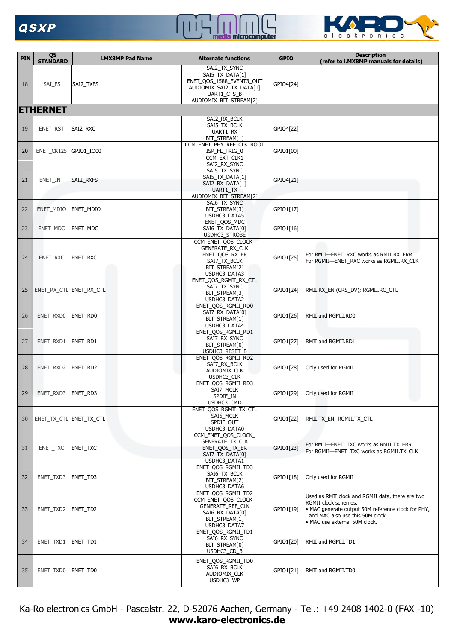# **QSXP**





| <b>PIN</b> | QS<br><b>STANDARD</b>   | <b>i.MX8MP Pad Name</b> | <b>Alternate functions</b>                                                                                                       | <b>GPIO</b> | <b>Description</b><br>(refer to i.MX8MP manuals for details)                                                                                                                                        |
|------------|-------------------------|-------------------------|----------------------------------------------------------------------------------------------------------------------------------|-------------|-----------------------------------------------------------------------------------------------------------------------------------------------------------------------------------------------------|
| 18         | SAI_FS                  | SAI2_TXFS               | SAI2 TX SYNC<br>SAI5_TX_DATA[1]<br>ENET_QOS_1588_EVENT3_OUT<br>AUDIOMIX_SAI2_TX_DATA[1]<br>UART1 CTS B<br>AUDIOMIX_BIT_STREAM[2] | GPIO4[24]   |                                                                                                                                                                                                     |
|            | <b>ETHERNET</b>         |                         |                                                                                                                                  |             |                                                                                                                                                                                                     |
| 19         | ENET_RST                | SAI2_RXC                | SAI2_RX_BCLK<br>SAI5_TX_BCLK<br>UART1_RX<br>BIT_STREAM[1]                                                                        | GPIO4[22]   |                                                                                                                                                                                                     |
| 20         | ENET_CK125              | GPIO1 IO00              | CCM ENET PHY REF CLK ROOT<br>ISP_FL_TRIG_0<br>CCM EXT CLK1<br>SAI2_RX_SYNC                                                       | GPIO1[00]   |                                                                                                                                                                                                     |
| 21         | ENET_INT                | SAI2_RXFS               | SAI5 TX SYNC<br>SAI5_TX_DATA[1]<br>SAI2_RX_DATA[1]<br>UART1 TX<br>AUDIOMIX_BIT_STREAM[2]                                         | GPIO4[21]   |                                                                                                                                                                                                     |
| 22         | ENET_MDIO               | ENET MDIO               | SAI6_TX_SYNC<br>BIT_STREAM[3]<br>USDHC3 DATA5                                                                                    | GPIO1[17]   |                                                                                                                                                                                                     |
| 23         | ENET_MDC                | <b>ENET MDC</b>         | ENET_QOS_MDC<br>SAI6 TX DATA[0]<br><b>USDHC3 STROBE</b>                                                                          | GPIO1[16]   |                                                                                                                                                                                                     |
| 24         | ENET_RXC                | ENET_RXC                | CCM_ENET_QOS_CLOCK_<br><b>GENERATE RX CLK</b><br>ENET_QOS_RX_ER<br>SAI7_TX_BCLK<br>BIT_STREAM[2]<br>USDHC3_DATA3                 | GPIO1[25]   | For RMII-ENET_RXC works as RMII.RX_ERR<br>For RGMII-ENET_RXC works as RGMII.RX_CLK                                                                                                                  |
| 25         |                         | ENET_RX_CTL ENET_RX_CTL | ENET_QOS_RGMII_RX_CTL<br>SAI7_TX_SYNC<br>BIT_STREAM[3]<br>USDHC3_DATA2                                                           | GPIO1[24]   | RMII.RX_EN (CRS_DV); RGMII.RC_CTL                                                                                                                                                                   |
| 26         | ENET_RXD0               | ENET_RD0                | ENET_QOS_RGMII_RD0<br>SAI7_RX_DATA[0]<br>BIT_STREAM[1]<br>USDHC3 DATA4                                                           | GPIO1[26]   | RMII and RGMII.RD0                                                                                                                                                                                  |
| 27         | ENET_RXD1               | ENET_RD1                | ENET_QOS_RGMII_RD1<br>SAI7 RX SYNC<br>BIT_STREAM[0]<br><b>USDHC3 RESET B</b>                                                     | GPIO1[27]   | RMII and RGMII.RD1                                                                                                                                                                                  |
| 28         | ENET_RXD2               | ENET_RD2                | ENET_QOS_RGMII_RD2<br>SAI7_RX_BCLK<br>AUDIOMIX_CLK<br>USDHC3 CLK                                                                 | GPIO1[28]   | Only used for RGMII                                                                                                                                                                                 |
| 29         | ENET_RXD3               | ENET RD3                | ENET_QOS_RGMII_RD3<br>SAI/_MCLK<br>SPDIF_IN<br>USDHC3_CMD                                                                        | GPIO1[29]   | Only used for RGMII                                                                                                                                                                                 |
| 30         | ENET_TX_CTL ENET_TX_CTL |                         | ENET OOS RGMII TX CTL<br>SAI6 MCLK<br>SPDIF_OUT<br>USDHC3_DATA0                                                                  | GPIO1[22]   | RMII.TX EN; RGMII.TX CTL                                                                                                                                                                            |
| 31         | ENET_TXC                | ENET_TXC                | CCM_ENET_QOS_CLOCK_<br>GENERATE_TX_CLK<br>ENET_QOS_TX_ER<br>SAI7 TX DATA[0]<br>USDHC3_DATA1                                      | GPIO1[23]   | For RMII-ENET_TXC works as RMII.TX_ERR<br>For RGMII-ENET_TXC works as RGMII.TX_CLK                                                                                                                  |
| 32         | ENET_TXD3               | ENET_TD3                | ENET_QOS_RGMII_TD3<br>SAI6_TX_BCLK<br>BIT_STREAM[2]<br>USDHC3_DATA6                                                              | GPIO1[18]   | Only used for RGMII                                                                                                                                                                                 |
| 33         | ENET_TXD2               | ENET_TD2                | ENET_QOS_RGMII_TD2<br>CCM_ENET_QOS_CLOCK_<br>GENERATE_REF_CLK<br>SAI6_RX_DATA[0]<br>BIT_STREAM[1]<br>USDHC3_DATA7                | GPIO1[19]   | Used as RMII clock and RGMII data, there are two<br>RGMII clock schemes.<br>• MAC generate output 50M reference clock for PHY,<br>and MAC also use this 50M clock.<br>• MAC use external 50M clock. |
| 34         | ENET_TXD1               | ENET_TD1                | ENET_QOS_RGMII_TD1<br>SAI6_RX_SYNC<br>BIT_STREAM[0]<br>USDHC3_CD_B                                                               | GPIO1[20]   | RMII and RGMII.TD1                                                                                                                                                                                  |
| 35         | ENET_TXD0               | ENET_TD0                | ENET_QOS_RGMII_TD0<br>SAI6_RX_BCLK<br>AUDIOMIX_CLK<br>USDHC3_WP                                                                  | GPIO1[21]   | RMII and RGMII.TD0                                                                                                                                                                                  |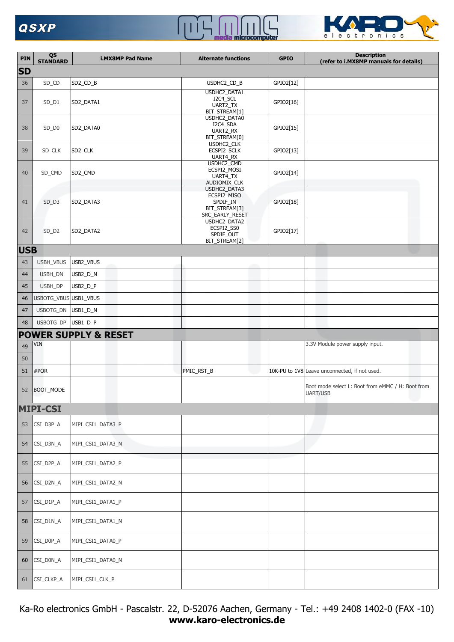## $\begin{array}{c} \begin{array}{c} \begin{array}{c} \end{array} \end{array} \end{array}$  $\prod$



| PIN        | QS<br><b>STANDARD</b> | <b>i.MX8MP Pad Name</b>         | <b>Alternate functions</b>                                                  | <b>GPIO</b> | <b>Description</b><br>(refer to i.MX8MP manuals for details)  |
|------------|-----------------------|---------------------------------|-----------------------------------------------------------------------------|-------------|---------------------------------------------------------------|
| <b>SD</b>  |                       |                                 |                                                                             |             |                                                               |
| 36         | SD_CD                 | SD2_CD_B                        | USDHC2_CD_B                                                                 | GPIO2[12]   |                                                               |
| 37         | $SD_$ 1               | SD2_DATA1                       | USDHC2_DATA1<br>I2C4_SCL<br>UART2_TX<br>BIT_STREAM[1]                       | GPIO2[16]   |                                                               |
| 38         | SD_D0                 | SD2_DATA0                       | USDHC2_DATA0<br>I2C4_SDA<br>UART2_RX<br>BIT_STREAM[0]                       | GPIO2[15]   |                                                               |
| 39         | SD_CLK                | SD <sub>2_CLK</sub>             | USDHC2_CLK<br>ECSPI2_SCLK<br>UART4_RX                                       | GPIO2[13]   |                                                               |
| 40         | SD_CMD                | SD2_CMD                         | USDHC2_CMD<br>ECSPI2_MOSI<br>UART4_TX<br>AUDIOMIX_CLK                       | GPIO2[14]   |                                                               |
| 41         | $SD$ _D3              | SD2_DATA3                       | USDHC2_DATA3<br>ECSPI2_MISO<br>SPDIF_IN<br>BIT_STREAM[3]<br>SRC_EARLY_RESET | GPIO2[18]   |                                                               |
| 42         | $SD_D2$               | SD2_DATA2                       | USDHC2_DATA2<br>ECSPI2_SS0<br>SPDIF_OUT<br>BIT_STREAM[2]                    | GPIO2[17]   |                                                               |
| <b>USB</b> |                       |                                 |                                                                             |             |                                                               |
| 43         | USBH_VBUS             | USB2_VBUS                       |                                                                             |             |                                                               |
| 44         | USBH_DN               | USB2_D_N                        |                                                                             |             |                                                               |
| 45         | USBH_DP               | USB2_D_P                        |                                                                             |             |                                                               |
| 46         | USBOTG_VBUS USB1_VBUS |                                 |                                                                             |             |                                                               |
| 47         | USBOTG_DN USB1_D_N    |                                 |                                                                             |             |                                                               |
| 48         | USBOTG_DP USB1_D_P    |                                 |                                                                             |             |                                                               |
|            | <b>VIN</b>            | <b>POWER SUPPLY &amp; RESET</b> |                                                                             |             | 3.3V Module power supply input.                               |
| 49<br>50   |                       |                                 |                                                                             |             |                                                               |
| 51         | #POR                  |                                 | PMIC_RST_B                                                                  |             | 10K-PU to 1V8 Leave unconnected, if not used.                 |
|            | 52 BOOT_MODE          |                                 |                                                                             |             | Boot mode select L: Boot from eMMC / H: Boot from<br>UART/USB |
|            | <b>MIPI-CSI</b>       |                                 |                                                                             |             |                                                               |
| 53         | CSI_D3P_A             | MIPI_CSI1_DATA3_P               |                                                                             |             |                                                               |
| 54         | CSI_D3N_A             | MIPI_CSI1_DATA3_N               |                                                                             |             |                                                               |
| 55         | CSI_D2P_A             | MIPI_CSI1_DATA2_P               |                                                                             |             |                                                               |
| 56         | CSI_D2N_A             | MIPI_CSI1_DATA2_N               |                                                                             |             |                                                               |
| 57         | CSI_D1P_A             | MIPI_CSI1_DATA1_P               |                                                                             |             |                                                               |
| 58         | CSI_D1N_A             | MIPI_CSI1_DATA1_N               |                                                                             |             |                                                               |
| 59         | CSI_D0P_A             | MIPI_CSI1_DATA0_P               |                                                                             |             |                                                               |
| 60         | CSI_D0N_A             | MIPI_CSI1_DATA0_N               |                                                                             |             |                                                               |
| 61         | CSI_CLKP_A            | MIPI_CSI1_CLK_P                 |                                                                             |             |                                                               |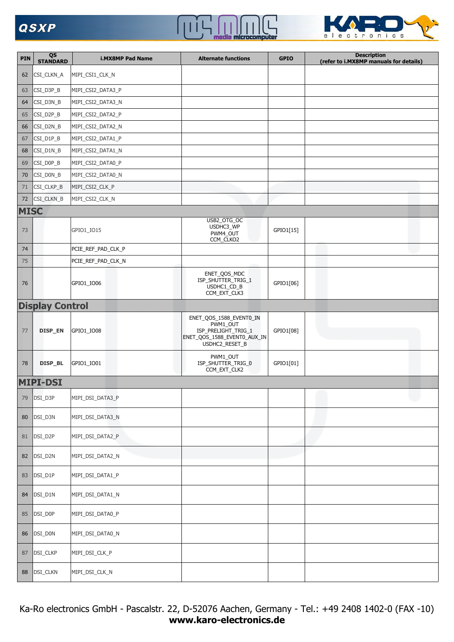



| PIN         | QS<br><b>STANDARD</b>  | <b>i.MX8MP Pad Name</b> | <b>Alternate functions</b>                                                                                  | <b>GPIO</b> | <b>Description</b><br>(refer to i.MX8MP manuals for details) |
|-------------|------------------------|-------------------------|-------------------------------------------------------------------------------------------------------------|-------------|--------------------------------------------------------------|
| 62          | CSI_CLKN_A             | MIPI_CSI1_CLK_N         |                                                                                                             |             |                                                              |
| 63          | CSI_D3P_B              | MIPI_CSI2_DATA3_P       |                                                                                                             |             |                                                              |
| 64          | CSI_D3N_B              | MIPI_CSI2_DATA3_N       |                                                                                                             |             |                                                              |
| 65          | CSI_D2P_B              | MIPI_CSI2_DATA2_P       |                                                                                                             |             |                                                              |
| 66          | CSI_D2N_B              | MIPI_CSI2_DATA2_N       |                                                                                                             |             |                                                              |
| 67          | CSI_D1P_B              | MIPI_CSI2_DATA1_P       |                                                                                                             |             |                                                              |
| 68          | CSI_D1N_B              | MIPI_CSI2_DATA1_N       |                                                                                                             |             |                                                              |
| 69          | CSI_D0P_B              | MIPI_CSI2_DATA0_P       |                                                                                                             |             |                                                              |
| 70          | CSI_D0N_B              | MIPI_CSI2_DATA0_N       |                                                                                                             |             |                                                              |
| 71          | CSI_CLKP_B             | MIPI_CSI2_CLK_P         |                                                                                                             |             |                                                              |
| 72          | CSI_CLKN_B             | MIPI_CSI2_CLK_N         |                                                                                                             |             |                                                              |
| <b>MISC</b> |                        |                         | USB2_OTG_OC                                                                                                 |             |                                                              |
| 73          |                        | GPIO1_IO15              | USDHC3_WP<br>PWM4_OUT<br>CCM_CLKO2                                                                          | GPIO1[15]   |                                                              |
| 74          |                        | PCIE_REF_PAD_CLK_P      |                                                                                                             |             |                                                              |
| 75          |                        | PCIE_REF_PAD_CLK_N      |                                                                                                             |             |                                                              |
| 76          |                        | GPIO1_IO06              | ENET_QOS_MDC<br>ISP_SHUTTER_TRIG_1<br>USDHC1_CD_B<br>CCM_EXT_CLK3                                           | GPIO1[06]   |                                                              |
|             | <b>Display Control</b> |                         |                                                                                                             |             |                                                              |
| 77          | DISP_EN                | GPIO1_IO08              | ENET_QOS_1588_EVENT0_IN<br>PWM1_OUT<br>ISP_PRELIGHT_TRIG_1<br>ENET_QOS_1588_EVENT0_AUX_IN<br>USDHC2_RESET_B | GPIO1[08]   |                                                              |
| 78          | DISP_BL                | GPIO1_IO01              | PWM1_OUT<br>ISP_SHUTTER_TRIG_0<br>CCM_EXT_CLK2                                                              | GPIO1[01]   |                                                              |
|             | <b>MIPI-DSI</b>        |                         |                                                                                                             |             |                                                              |
| 79          | DSI_D3P                | MIPI_DSI_DATA3_P        |                                                                                                             |             |                                                              |
| 80          | DSI_D3N                | MIPI_DSI_DATA3_N        |                                                                                                             |             |                                                              |
| 81          | DSI_D2P                | MIPI_DSI_DATA2_P        |                                                                                                             |             |                                                              |
| 82          | DSI_D2N                | MIPI_DSI_DATA2_N        |                                                                                                             |             |                                                              |
| 83          | DSI_D1P                | MIPI_DSI_DATA1_P        |                                                                                                             |             |                                                              |
| 84          | DSI_D1N                | MIPI_DSI_DATA1_N        |                                                                                                             |             |                                                              |
| 85          | DSI_D0P                | MIPI_DSI_DATA0_P        |                                                                                                             |             |                                                              |
| 86          | DSI_D0N                | MIPI_DSI_DATA0_N        |                                                                                                             |             |                                                              |
| 87          | DSI_CLKP               | MIPI_DSI_CLK_P          |                                                                                                             |             |                                                              |
| 88          | DSI_CLKN               | MIPI_DSI_CLK_N          |                                                                                                             |             |                                                              |